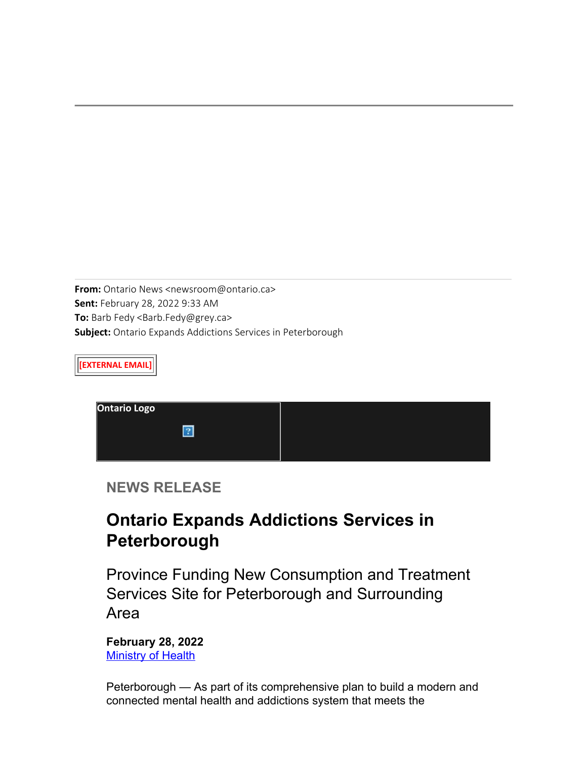**From:** Ontario News <newsroom@ontario.ca> **Sent:** February 28, 2022 9:33 AM **To:** Barb Fedy <Barb.Fedy@grey.ca> **Subject:** Ontario Expands Addictions Services in Peterborough

**[EXTERNAL EMAIL]**

| <b>Ontario Logo</b> |  |  |
|---------------------|--|--|
|                     |  |  |
|                     |  |  |

### **NEWS RELEASE**

## **Ontario Expands Addictions Services in Peterborough**

Province Funding New Consumption and Treatment Services Site for Peterborough and Surrounding Area

**February 28, 2022 [Ministry of Health](https://u21118854.ct.sendgrid.net/ls/click?upn=lD4dx-2BnG5q0hGva6EtJJPWbkSvJ4GHY8IVkNaerKK0tdgjR93QvZOTtopIalAY-2FaC-2Bh72WOH-2FPeYwv5F41W9hqqphr00PVJfbq6U8l-2B878OKUmWNIAJ-2FTVLYoYcXM2zbDy3B2-2FpaRa0iaiZpuLiFWc-2FVkTqOYf5ulH3Vw-2F0YmjV7YO67b9WnAm67p-2FvJ0FoP1Mzg7w5Pz-2FLeyRaI7AC9EI3c82mGH0a3UO6kQFUuRP1kQIY57guv6uGvJwWcmroHtbfK_vfpktU3vuLfOi-2BhkLkj1VlheVIJqCQvXlfCH8rLKPBmIMx2X3kL2TCfXCsfthq4Iyz5fMXFT0ALL-2FLMC31acUuHNON-2BJ-2F8a2OtNw6ORhZN-2FXZpUZllib6RqwBJwHuLBgXP8XCLdgHkMDccQQqjgiuD8umUeIsrOhgvvjZB-2BUr8-2F1wcctXUxNQ1-2BKmKCwUWgjHRGCRb7KgHU8Q31pQGJrbA-3D-3D)** 

Peterborough — As part of its comprehensive plan to build a modern and connected mental health and addictions system that meets the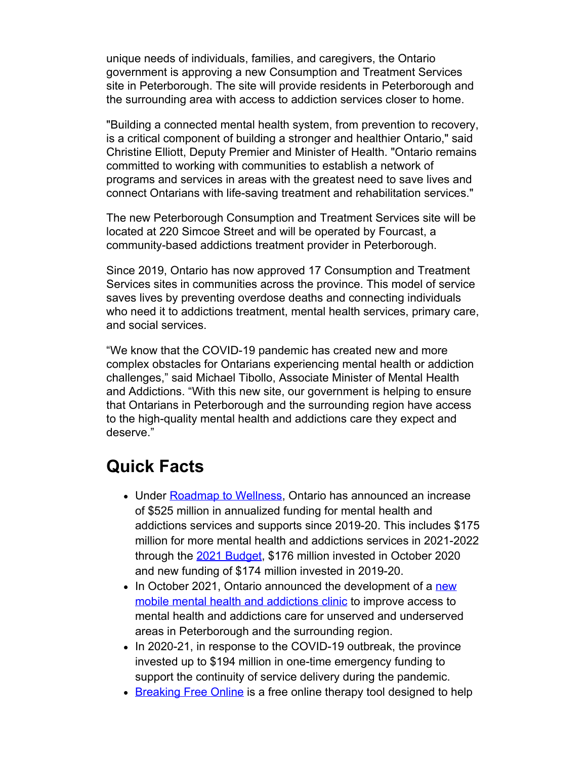unique needs of individuals, families, and caregivers, the Ontario government is approving a new Consumption and Treatment Services site in Peterborough. The site will provide residents in Peterborough and the surrounding area with access to addiction services closer to home.

"Building a connected mental health system, from prevention to recovery, is a critical component of building a stronger and healthier Ontario," said Christine Elliott, Deputy Premier and Minister of Health. "Ontario remains committed to working with communities to establish a network of programs and services in areas with the greatest need to save lives and connect Ontarians with life-saving treatment and rehabilitation services."

The new Peterborough Consumption and Treatment Services site will be located at 220 Simcoe Street and will be operated by Fourcast, a community-based addictions treatment provider in Peterborough.

Since 2019, Ontario has now approved 17 Consumption and Treatment Services sites in communities across the province. This model of service saves lives by preventing overdose deaths and connecting individuals who need it to addictions treatment, mental health services, primary care, and social services.

"We know that the COVID-19 pandemic has created new and more complex obstacles for Ontarians experiencing mental health or addiction challenges," said Michael Tibollo, Associate Minister of Mental Health and Addictions. "With this new site, our government is helping to ensure that Ontarians in Peterborough and the surrounding region have access to the high-quality mental health and addictions care they expect and deserve."

### **Quick Facts**

- Under [Roadmap to Wellness](https://u21118854.ct.sendgrid.net/ls/click?upn=lD4dx-2BnG5q0hGva6EtJJPXutpHdD30hzQII7KMNv14ZcWCyKHUy6QpgSHPlXFHUGYuGALNgLJSRYuv-2B6lXcmiIJoZFt6Is2mCKUjEaBmfR6odieTU0I5dZRqVQpyjANa-2F4O2JFG-2FbG69b-2FaN-2FKMLHQJ65-2BzdgvDUxNV7P8O-2FM071mW0-2BPHuuJjk-2BM2cNKe8WhWCOC7lpDn0x4FEBHw4PaQOihtjCiut6rCesrZ5R8oFtCTyHT9A4ZprXZgnVKmHcA-2BhJbqAdc1Iml3WkxQDwph-2Ft-2BMdK7JfPZEwyIH3vIucUeVpQ6Q25kKHbMXNRxNYgO3t2dbcQTBor6D9Zrnrl0Q-3D-3Drlmq_vfpktU3vuLfOi-2BhkLkj1VlheVIJqCQvXlfCH8rLKPBmIMx2X3kL2TCfXCsfthq4ICkh8qR2jFEw30ULzJxrcSuaRfIuwY0wHgF09a8news17BLgA5-2B7hwIU52g2B-2FUze7YWaX4Nq5xyus2sLPxXtPtsuN14juGRpMUwBPQJwWXS6aWcw0ZOUNfLRuLVEMcaCIM3cMK1wa1PJNS2elJvMyA-3D-3D), Ontario has announced an increase of \$525 million in annualized funding for mental health and addictions services and supports since 2019-20. This includes \$175 million for more mental health and addictions services in 2021-2022 through the [2021 Budget](https://u21118854.ct.sendgrid.net/ls/click?upn=lD4dx-2BnG5q0hGva6EtJJPYaZZKp3Bjn7iE1pq33xXGASUmVCow8aw4G3QelBHJPfcwFXRmTCqiKa8ZuoC9coQ4hak4QxR5Ya7F8-2F9OgL3lFgVHUmFWcfP5E66SKvwyRU-2Fy9z3OKiUfOR1wdQdQjerDDLlgR1y0W26ESowOYSKca10s4Kp8Gz5Mt5wGyntFyOx78z0Fm-2FlKJV4HiFV2dzvGrKLN1w0MTR6Wk6rzTwnGO0DgZP15VZi9RK6vXTvwwHEWD6lkLbGWxFAs8QoLY3OQ-3D-3DHn82_vfpktU3vuLfOi-2BhkLkj1VlheVIJqCQvXlfCH8rLKPBmIMx2X3kL2TCfXCsfthq4Ina-2FVSST0zNIVwbmr8jhAX-2FN-2F64Z485LL-2FabC1DwOlwldEjr0gyaFF9yBkrQhvsNlQ0AAie0dm8tWNE32A5AQ-2FPJoo-2BV4iDE2ZZw1S3cXln6nm7sLdmDK9QmwkOBNoVuki9o-2BDyaNVrntVkZg8fIAjA-3D-3D), \$176 million invested in October 2020 and new funding of \$174 million invested in 2019-20.
- $\bullet$  In October 2021, Ontario announced the development of a [new](https://u21118854.ct.sendgrid.net/ls/click?upn=lD4dx-2BnG5q0hGva6EtJJPWbkSvJ4GHY8IVkNaerKK0uo5uT1GzbJL7O6nITDlgpb3Bov8wZwy0lBhJfjUHW2GPqy5UBKPKAt-2BrjCswZ3bwW9KLr8v-2F5PM3mBYPMb-2F3if0bwm2Rtp1MyKVqlJRj6uf66U6U3ihO1BDAkCPMwH7l8RdV3ThRlEssYNCKEGYPRRDCwID1l-2FLbgbcD6o5NweZGs7PT-2FWN7bppL0Q5l4q0mo8EoY53W0al2-2B51oTrAUPOAPM-2FRMIP8C2URtX-2FCjGUOGYpkVyEYM89MdkcBOOrpP-2F5niNHMBIX5v00oORjdjMG8MYoSoqXI695ov7XmKVYBo-2F9QfTpuVm4cfQRQvKZg5N8gGNUPDfhwjnvS1EhMT19JKjl_vfpktU3vuLfOi-2BhkLkj1VlheVIJqCQvXlfCH8rLKPBmIMx2X3kL2TCfXCsfthq4It-2FBzM-2FbxtkOaL2WxNmo0J4xqBZg9Ke1-2B-2FvgB3YestsoFo7WYcmTyucYlg8NDpuSwHzD8rugAWvz-2FqT5w-2BvMAU6lQhtxfHgARivB37g8nB6HSkcSaV0giL3NIctyWyybT7KbAMKNQAUtbkOl4eDvGgg-3D-3D) [mobile mental health and addictions clinic](https://u21118854.ct.sendgrid.net/ls/click?upn=lD4dx-2BnG5q0hGva6EtJJPWbkSvJ4GHY8IVkNaerKK0uo5uT1GzbJL7O6nITDlgpb3Bov8wZwy0lBhJfjUHW2GPqy5UBKPKAt-2BrjCswZ3bwW9KLr8v-2F5PM3mBYPMb-2F3if0bwm2Rtp1MyKVqlJRj6uf66U6U3ihO1BDAkCPMwH7l8RdV3ThRlEssYNCKEGYPRRDCwID1l-2FLbgbcD6o5NweZGs7PT-2FWN7bppL0Q5l4q0mo8EoY53W0al2-2B51oTrAUPOAPM-2FRMIP8C2URtX-2FCjGUOGYpkVyEYM89MdkcBOOrpP-2F5niNHMBIX5v00oORjdjMG8MYoSoqXI695ov7XmKVYBo-2F9QfTpuVm4cfQRQvKZg5N8gGNUPDfhwjnvS1EhMT19JKjl_vfpktU3vuLfOi-2BhkLkj1VlheVIJqCQvXlfCH8rLKPBmIMx2X3kL2TCfXCsfthq4It-2FBzM-2FbxtkOaL2WxNmo0J4xqBZg9Ke1-2B-2FvgB3YestsoFo7WYcmTyucYlg8NDpuSwHzD8rugAWvz-2FqT5w-2BvMAU6lQhtxfHgARivB37g8nB6HSkcSaV0giL3NIctyWyybT7KbAMKNQAUtbkOl4eDvGgg-3D-3D) to improve access to mental health and addictions care for unserved and underserved areas in Peterborough and the surrounding region.
- In 2020-21, in response to the COVID-19 outbreak, the province invested up to \$194 million in one-time emergency funding to support the continuity of service delivery during the pandemic.
- [Breaking Free Online](https://u21118854.ct.sendgrid.net/ls/click?upn=lD4dx-2BnG5q0hGva6EtJJPd19wpF4Reon-2BaU5rWkr337ls4M8cUl-2BsiUHvhDygzF-2FzT3mcJtgY38bs3uNASd0p6taXnKS7g6C-2FQtNCqQNsNG-2BizcFn8khK-2BgdHWgTndtSSQhLeoiU9m0mcpDWqEZdqB-2B-2BxWaU4Ox6NwCUG3OLEsSlmBn0kmOzTNXYvDHGqV1QvhQ7VGHcwW-2BXmLlaik2PTCbKcRGnEns6YDqxSF9gGtOIJyYeaivlxS8aLbNK469TXTRX_vfpktU3vuLfOi-2BhkLkj1VlheVIJqCQvXlfCH8rLKPBmIMx2X3kL2TCfXCsfthq4IDMVE-2F6I-2B-2FrJoJFkRbPeK632qaGW65cSmqaeVm36rpRW9oUqr5iUV8fCO6TQNqdsRm74mZk31gfBX5IvI-2FNuWKCoIA9bVKbphIFQO-2ByjETXMB2QuXMWHg6oIPWFdKpm-2F02FiGfNsQtr4peOmBdzwnKQ-3D-3D) is a free online therapy tool designed to help